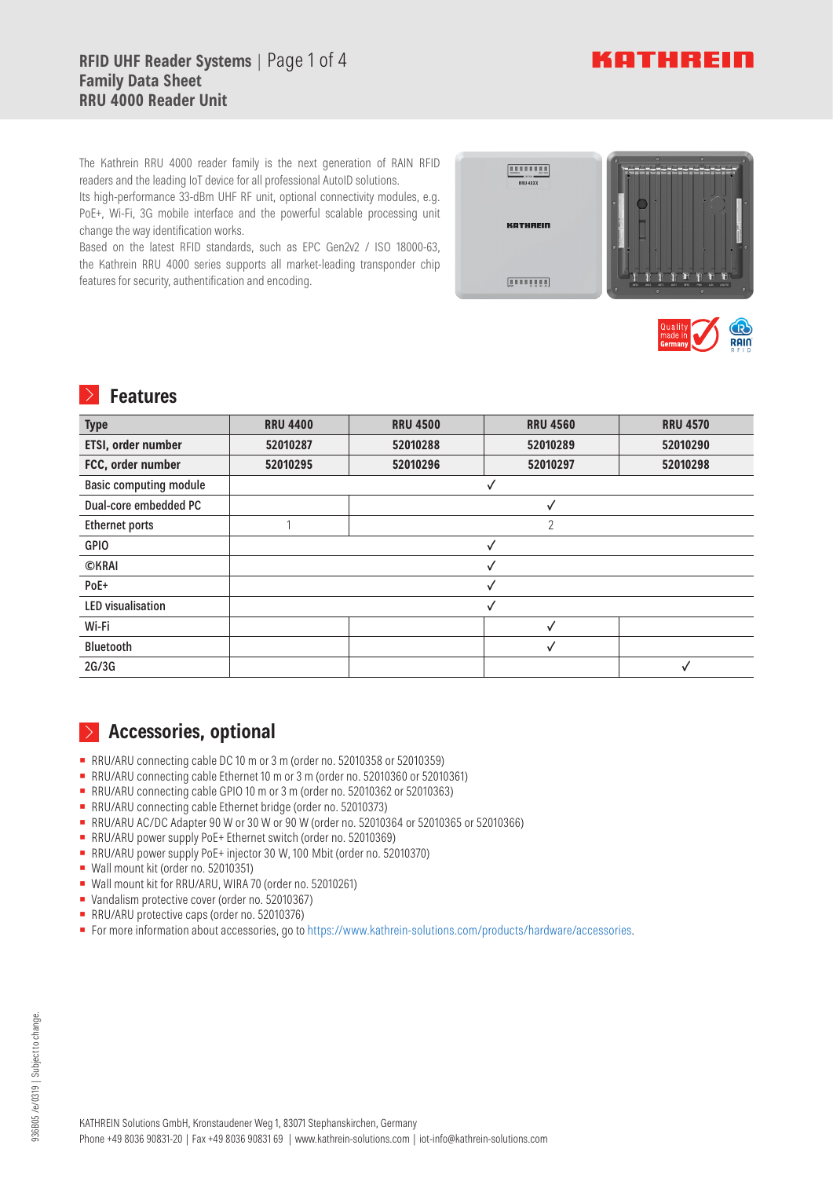# **RFID UHF Reader Systems** | Page 1 of 4 **Family Data Sheet RRU 4000 Reader Unit**



The Kathrein RRU 4000 reader family is the next generation of RAIN RFID readers and the leading IoT device for all professional AutoID solutions.

Its high-performance 33-dBm UHF RF unit, optional connectivity modules, e.g. PoE+, Wi-Fi, 3G mobile interface and the powerful scalable processing unit change the way identification works.

Based on the latest RFID standards, such as EPC Gen2v2 / ISO 18000-63, the Kathrein RRU 4000 series supports all market-leading transponder chip features for security, authentification and encoding.

| <br><b>N.F. MAT</b><br><b>30-047W</b><br>RRU 4XXX | $\bullet$<br>$\bullet$<br>٥                                                                                                                                                |
|---------------------------------------------------|----------------------------------------------------------------------------------------------------------------------------------------------------------------------------|
| <b>KATHREIN</b>                                   | G<br>œ<br>G<br>o                                                                                                                                                           |
| [inniiii]                                         | 'n<br>n<br>w<br>'n<br>ī<br>ī<br>LANPOE<br><b>ANT4</b><br>$1$<br>ANT2<br>GRO.<br>Park<br><b>UW</b><br><b>ANTS</b><br>$\bullet$<br>$\circ$<br>$\circ$<br>$\ddot{\mathbf{a}}$ |



# **Features**

| <b>Type</b>                   | <b>RRU 4400</b> | <b>RRU 4500</b> | <b>RRU 4560</b> | <b>RRU 4570</b> |
|-------------------------------|-----------------|-----------------|-----------------|-----------------|
| ETSI, order number            | 52010287        | 52010288        | 52010289        | 52010290        |
| FCC, order number             | 52010295        | 52010296        | 52010297        | 52010298        |
| <b>Basic computing module</b> |                 |                 |                 |                 |
| Dual-core embedded PC         |                 |                 | √               |                 |
| <b>Ethernet ports</b>         |                 |                 | $\overline{2}$  |                 |
| <b>GPIO</b>                   |                 |                 |                 |                 |
| <b>OKRAI</b>                  |                 |                 |                 |                 |
| PoE+                          |                 |                 |                 |                 |
| <b>LED</b> visualisation      |                 |                 |                 |                 |
| Wi-Fi                         |                 |                 | ✓               |                 |
| <b>Bluetooth</b>              |                 |                 | ✓               |                 |
| 2G/3G                         |                 |                 |                 |                 |

# **Accessories, optional**

- RRU/ARU connecting cable DC 10 m or 3 m (order no. 52010358 or 52010359)
- RRU/ARU connecting cable Ethernet 10 m or 3 m (order no. 52010360 or 52010361)
- RRU/ARU connecting cable GPIO 10 m or 3 m (order no. 52010362 or 52010363)
- RRU/ARU connecting cable Ethernet bridge (order no. 52010373)
- RRU/ARU AC/DC Adapter 90 W or 30 W or 90 W (order no. 52010364 or 52010365 or 52010366)
- RRU/ARU power supply PoE+ Ethernet switch (order no. 52010369)
- RRU/ARU power supply PoE+ injector 30 W, 100 Mbit (order no. 52010370)
- **▪** Wall mount kit (order no. 52010351)
- **▪** Wall mount kit for RRU/ARU, WIRA 70 (order no. 52010261)
- **▪** Vandalism protective cover (order no. 52010367)
- RRU/ARU protective caps (order no. 52010376)
- **▪** For more information about accessories, go to https://www.kathrein-solutions.com/products/hardware/accessories.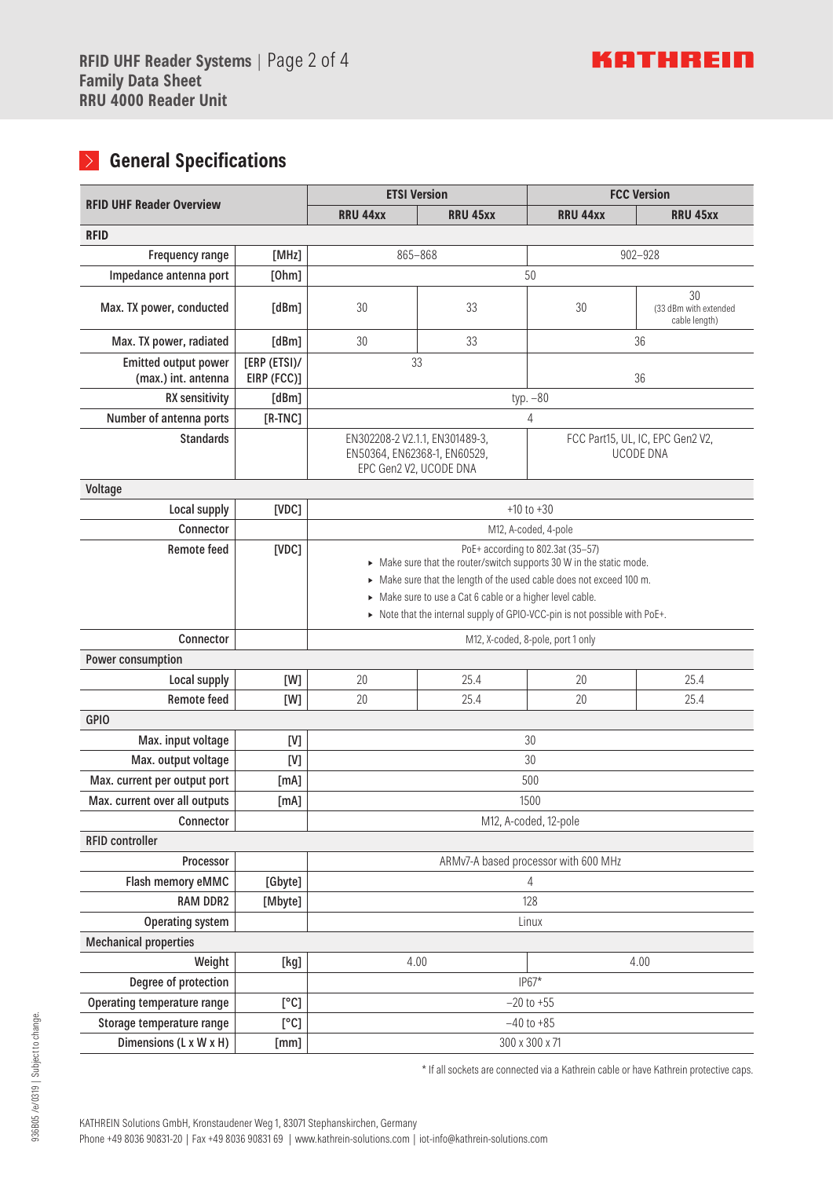# **General Specifications**

|                                                    |                            | <b>ETSI Version</b>                                                                                                                              |                 | <b>FCC Version</b>                   |                                              |  |
|----------------------------------------------------|----------------------------|--------------------------------------------------------------------------------------------------------------------------------------------------|-----------------|--------------------------------------|----------------------------------------------|--|
| <b>RFID UHF Reader Overview</b>                    |                            | <b>RRU 44xx</b>                                                                                                                                  | <b>RRU 45xx</b> | <b>RRU 44xx</b>                      | <b>RRU 45xx</b>                              |  |
| <b>RFID</b>                                        |                            |                                                                                                                                                  |                 |                                      |                                              |  |
| Frequency range                                    | [MHz]                      | 865-868                                                                                                                                          |                 |                                      | $902 - 928$                                  |  |
| Impedance antenna port                             | [Ohm]                      | 50                                                                                                                                               |                 |                                      |                                              |  |
| Max. TX power, conducted                           | [dBm]                      | 30                                                                                                                                               | 33              | 30                                   | 30<br>(33 dBm with extended<br>cable length) |  |
| Max. TX power, radiated                            | [dBm]                      | 30                                                                                                                                               | 33              |                                      | 36                                           |  |
| <b>Emitted output power</b><br>(max.) int. antenna | [ERP (ETS)]<br>EIRP (FCC)] | 33<br>36                                                                                                                                         |                 |                                      |                                              |  |
| <b>RX</b> sensitivity                              | [dBm]                      |                                                                                                                                                  |                 | typ. $-80$                           |                                              |  |
| Number of antenna ports                            | $[R-TNC]$                  |                                                                                                                                                  |                 | 4                                    |                                              |  |
| <b>Standards</b>                                   |                            | EN302208-2 V2.1.1, EN301489-3,<br>FCC Part15, UL, IC, EPC Gen2 V2,<br><b>UCODE DNA</b><br>EN50364, EN62368-1, EN60529,<br>EPC Gen2 V2, UCODE DNA |                 |                                      |                                              |  |
| Voltage                                            |                            |                                                                                                                                                  |                 |                                      |                                              |  |
| Local supply                                       | [VDC]                      | $+10$ to $+30$                                                                                                                                   |                 |                                      |                                              |  |
| Connector                                          |                            |                                                                                                                                                  |                 | M12, A-coded, 4-pole                 |                                              |  |
| <b>Remote feed</b>                                 | [VDC]                      | PoE+ according to 802.3at (35-57)                                                                                                                |                 |                                      |                                              |  |
|                                                    |                            | Make sure that the router/switch supports 30 W in the static mode.                                                                               |                 |                                      |                                              |  |
|                                                    |                            | > Make sure that the length of the used cable does not exceed 100 m.<br>> Make sure to use a Cat 6 cable or a higher level cable.                |                 |                                      |                                              |  |
|                                                    |                            | > Note that the internal supply of GPIO-VCC-pin is not possible with PoE+.                                                                       |                 |                                      |                                              |  |
| Connector                                          |                            | M12, X-coded, 8-pole, port 1 only                                                                                                                |                 |                                      |                                              |  |
| Power consumption                                  |                            |                                                                                                                                                  |                 |                                      |                                              |  |
| Local supply                                       | [W]                        | 20                                                                                                                                               | 25.4            | 20                                   | 25.4                                         |  |
| <b>Remote feed</b>                                 | [W]                        | 20                                                                                                                                               | 25.4            | 20                                   | 25.4                                         |  |
| <b>GPIO</b>                                        |                            |                                                                                                                                                  |                 |                                      |                                              |  |
| Max. input voltage                                 | [V]                        |                                                                                                                                                  |                 | 30                                   |                                              |  |
| Max. output voltage                                | [V]                        | 30                                                                                                                                               |                 |                                      |                                              |  |
| Max. current per output port                       | [mA]                       | 500                                                                                                                                              |                 |                                      |                                              |  |
| Max. current over all outputs                      | [mA]                       | 1500                                                                                                                                             |                 |                                      |                                              |  |
| Connector                                          |                            | M12, A-coded, 12-pole                                                                                                                            |                 |                                      |                                              |  |
| <b>RFID controller</b>                             |                            |                                                                                                                                                  |                 |                                      |                                              |  |
| Processor                                          |                            |                                                                                                                                                  |                 | ARMv7-A based processor with 600 MHz |                                              |  |
| Flash memory eMMC                                  | [Gbyte]                    | $\overline{4}$                                                                                                                                   |                 |                                      |                                              |  |
| <b>RAM DDR2</b>                                    | [Mbyte]                    | 128                                                                                                                                              |                 |                                      |                                              |  |
| <b>Operating system</b>                            |                            | Linux                                                                                                                                            |                 |                                      |                                              |  |
| <b>Mechanical properties</b>                       |                            |                                                                                                                                                  |                 |                                      |                                              |  |
| Weight                                             | [kg]                       | 4.00                                                                                                                                             |                 |                                      | 4.00                                         |  |
| Degree of protection                               |                            |                                                                                                                                                  |                 | $IP67*$                              |                                              |  |
| Operating temperature range                        | [°C]                       |                                                                                                                                                  |                 | $-20$ to $+55$                       |                                              |  |
| Storage temperature range                          | [°C]                       |                                                                                                                                                  |                 | $-40$ to $+85$                       |                                              |  |
| Dimensions (L x W x H)                             | [mm]                       | 300 x 300 x 71                                                                                                                                   |                 |                                      |                                              |  |

\* If all sockets are connected via a Kathrein cable or have Kathrein protective caps.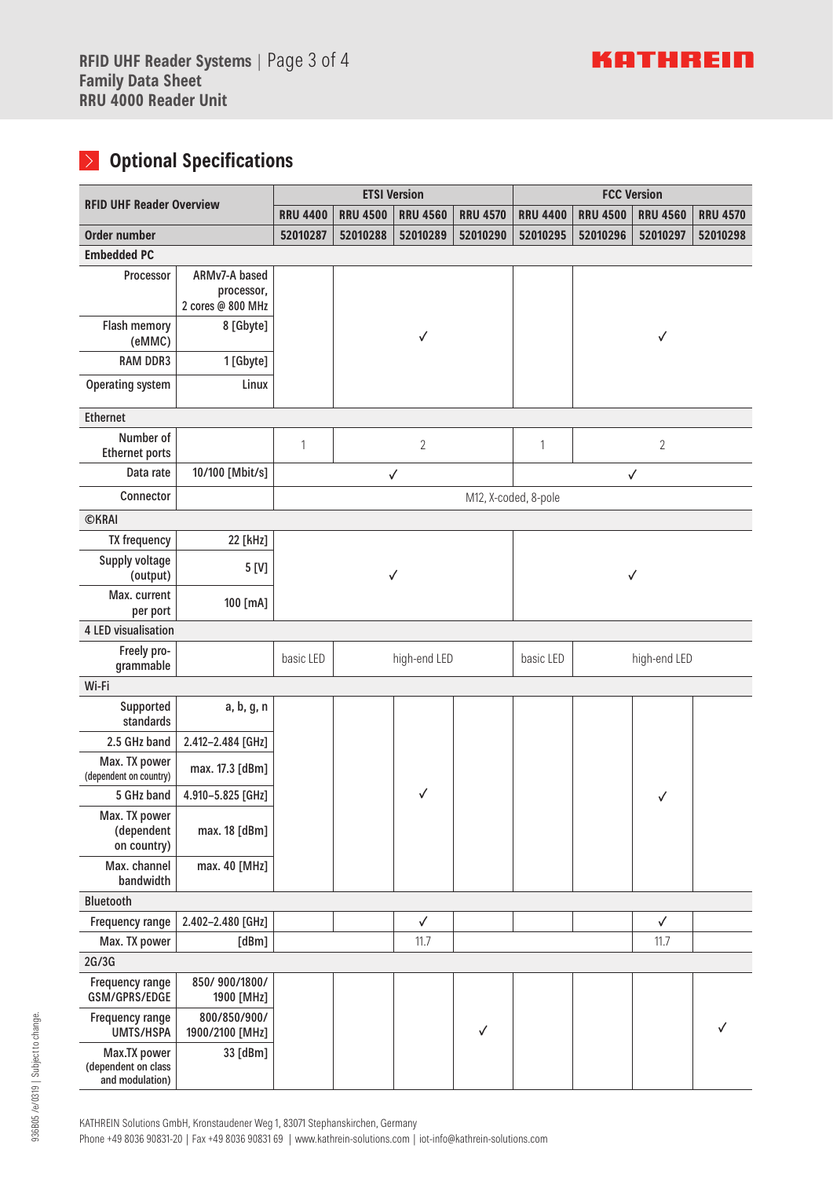# **Optional Specifications**

|                                                        |                                 | <b>ETSI Version</b>                                                      |          |                 | <b>FCC Version</b> |                      |                 |              |          |
|--------------------------------------------------------|---------------------------------|--------------------------------------------------------------------------|----------|-----------------|--------------------|----------------------|-----------------|--------------|----------|
| <b>RFID UHF Reader Overview</b>                        |                                 | <b>RRU 4500</b><br><b>RRU 4400</b><br><b>RRU 4560</b><br><b>RRU 4570</b> |          | <b>RRU 4400</b> | <b>RRU 4500</b>    | <b>RRU 4560</b>      | <b>RRU 4570</b> |              |          |
| <b>Order number</b>                                    |                                 | 52010287                                                                 | 52010288 | 52010289        | 52010290           | 52010295             | 52010296        | 52010297     | 52010298 |
| <b>Embedded PC</b>                                     |                                 |                                                                          |          |                 |                    |                      |                 |              |          |
| Processor                                              | ARMv7-A based                   |                                                                          |          |                 |                    |                      |                 |              |          |
|                                                        | processor,<br>2 cores @ 800 MHz |                                                                          |          |                 |                    |                      |                 |              |          |
| Flash memory<br>(eMMC)                                 | 8 [Gbyte]                       |                                                                          |          | √               |                    |                      | $\checkmark$    |              |          |
| <b>RAM DDR3</b>                                        | 1 [Gbyte]                       |                                                                          |          |                 |                    |                      |                 |              |          |
| <b>Operating system</b>                                | Linux                           |                                                                          |          |                 |                    |                      |                 |              |          |
| <b>Ethernet</b>                                        |                                 |                                                                          |          |                 |                    |                      |                 |              |          |
| Number of<br><b>Ethernet ports</b>                     |                                 | 1                                                                        |          | $\overline{2}$  |                    | 1                    | $\overline{2}$  |              |          |
| Data rate                                              | 10/100 [Mbit/s]                 |                                                                          |          | $\checkmark$    |                    |                      | $\checkmark$    |              |          |
| Connector                                              |                                 |                                                                          |          |                 |                    | M12, X-coded, 8-pole |                 |              |          |
| <b>©KRAI</b>                                           |                                 |                                                                          |          |                 |                    |                      |                 |              |          |
| <b>TX frequency</b>                                    | 22 [kHz]                        |                                                                          |          |                 |                    |                      |                 |              |          |
| Supply voltage<br>(output)                             | 5 [V]                           | $\checkmark$                                                             |          |                 | $\checkmark$       |                      |                 |              |          |
| Max. current<br>per port                               | 100 [mA]                        |                                                                          |          |                 |                    |                      |                 |              |          |
| 4 LED visualisation                                    |                                 |                                                                          |          |                 |                    |                      |                 |              |          |
| Freely pro-<br>grammable                               |                                 | basic LED                                                                |          | high-end LED    |                    | basic LED            | high-end LED    |              |          |
| Wi-Fi                                                  |                                 |                                                                          |          |                 |                    |                      |                 |              |          |
| Supported<br>standards                                 | a, b, g, n                      |                                                                          |          |                 |                    |                      |                 |              |          |
| 2.5 GHz band                                           | 2.412-2.484 [GHz]               |                                                                          |          |                 |                    |                      |                 |              |          |
| Max. TX power<br>(dependent on country)                | max. 17.3 [dBm]                 |                                                                          |          |                 |                    |                      |                 |              |          |
| 5 GHz band                                             | 4.910-5.825 [GHz]               |                                                                          |          | $\checkmark$    |                    |                      |                 | ✓            |          |
| Max. TX power<br>(dependent<br>on country)             | max. 18 [dBm]                   |                                                                          |          |                 |                    |                      |                 |              |          |
| Max. channel<br>bandwidth                              | max. 40 [MHz]                   |                                                                          |          |                 |                    |                      |                 |              |          |
| <b>Bluetooth</b>                                       |                                 |                                                                          |          |                 |                    |                      |                 |              |          |
| Frequency range                                        | 2.402-2.480 [GHz]               |                                                                          |          | $\checkmark$    |                    |                      |                 | $\checkmark$ |          |
| Max. TX power                                          | [dBm]                           |                                                                          |          | 11.7            |                    |                      |                 | 11.7         |          |
| 2G/3G                                                  |                                 |                                                                          |          |                 |                    |                      |                 |              |          |
| Frequency range<br>GSM/GPRS/EDGE                       | 850/900/1800/<br>1900 [MHz]     |                                                                          |          |                 |                    |                      |                 |              |          |
| Frequency range<br><b>UMTS/HSPA</b>                    | 800/850/900/<br>1900/2100 [MHz] |                                                                          |          |                 | ✓                  |                      |                 |              |          |
| Max.TX power<br>(dependent on class<br>and modulation) | 33 [dBm]                        |                                                                          |          |                 |                    |                      |                 |              |          |

KATHREIN Solutions GmbH, Kronstaudener Weg 1, 83071 Stephanskirchen, Germany

Phone +49 8036 90831-20 | Fax +49 8036 90831 69 | www.kathrein-solutions.com | iot-info@kathrein-solutions.com